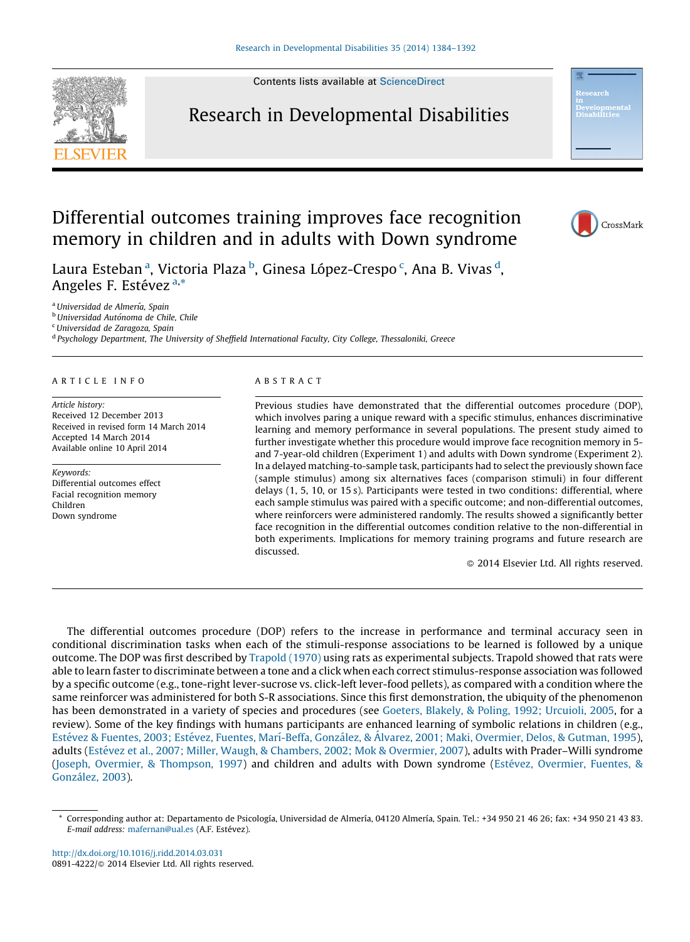Contents lists available at [ScienceDirect](http://www.sciencedirect.com/science/journal/08914222)





CrossMark

## Differential outcomes training improves face recognition memory in children and in adults with Down syndrome

Laura Esteban <sup>a</sup>, Victoria Plaza <sup>b</sup>, Ginesa López-Crespo <sup>c</sup>, Ana B. Vivas <sup>d</sup>, Angeles F. Estévez <sup>a,\*</sup>

<sup>a</sup> Universidad de Almería, Spain

<sup>b</sup> Universidad Autónoma de Chile, Chile

<sup>c</sup> Universidad de Zaragoza, Spain

<sup>d</sup> Psychology Department, The University of Sheffield International Faculty, City College, Thessaloniki, Greece

#### A R T I C L E I N F O

Article history: Received 12 December 2013 Received in revised form 14 March 2014 Accepted 14 March 2014 Available online 10 April 2014

Keywords: Differential outcomes effect Facial recognition memory Children Down syndrome

#### A B S T R A C T

Previous studies have demonstrated that the differential outcomes procedure (DOP), which involves paring a unique reward with a specific stimulus, enhances discriminative learning and memory performance in several populations. The present study aimed to further investigate whether this procedure would improve face recognition memory in 5 and 7-year-old children (Experiment 1) and adults with Down syndrome (Experiment 2). In a delayed matching-to-sample task, participants had to select the previously shown face (sample stimulus) among six alternatives faces (comparison stimuli) in four different delays (1, 5, 10, or 15 s). Participants were tested in two conditions: differential, where each sample stimulus was paired with a specific outcome; and non-differential outcomes, where reinforcers were administered randomly. The results showed a significantly better face recognition in the differential outcomes condition relative to the non-differential in both experiments. Implications for memory training programs and future research are discussed.

- 2014 Elsevier Ltd. All rights reserved.

The differential outcomes procedure (DOP) refers to the increase in performance and terminal accuracy seen in conditional discrimination tasks when each of the stimuli-response associations to be learned is followed by a unique outcome. The DOP was first described by [Trapold](#page--1-0) (1970) using rats as experimental subjects. Trapold showed that rats were able to learn faster to discriminate between a tone and a click when each correct stimulus-response association was followed by a specific outcome (e.g., tone-right lever-sucrose vs. click-left lever-food pellets), as compared with a condition where the same reinforcer was administered for both S-R associations. Since this first demonstration, the ubiquity of the phenomenon has been demonstrated in a variety of species and procedures (see Goeters, Blakely, & Poling, 1992; [Urcuioli,](#page--1-0) 2005, for a review). Some of the key findings with humans participants are enhanced learning of symbolic relations in children (e.g., Estévez & Fuentes, 2003; Estévez, Fuentes, Marí-Beffa, González, & Álvarez, 2001; Maki, Overmier, Delos, & Gutman, 1995), adults (Estévez et al., 2007; Miller, Waugh, & [Chambers,](#page--1-0) 2002; Mok & Overmier, 2007), adults with Prader–Willi syndrome (Joseph, Overmier, & [Thompson,](#page--1-0) 1997) and children and adults with Down syndrome (Estévez, [Overmier,](#page--1-0) Fuentes, & González, 2003).

<sup>\*</sup> Corresponding author at: Departamento de Psicología, Universidad de Almería, 04120 Almería, Spain. Tel.: +34 950 21 46 26; fax: +34 950 21 43 83. E-mail address: [mafernan@ual.es](mailto:mafernan@ual.es) (A.F. Estévez).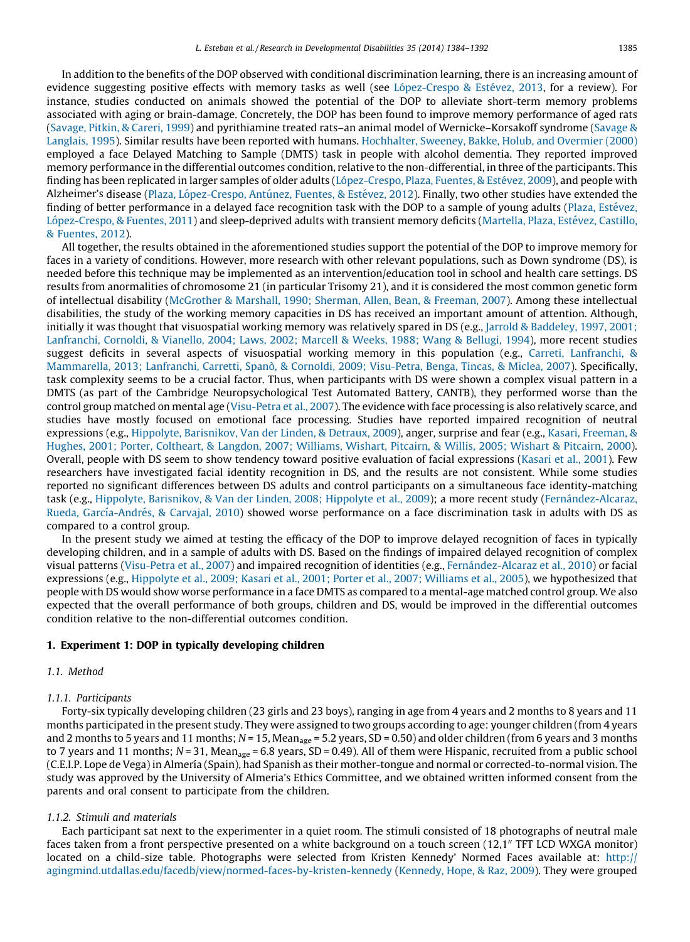In addition to the benefits of the DOP observed with conditional discrimination learning, there is an increasing amount of evidence suggesting positive effects with memory tasks as well (see López-Crespo & Estévez, 2013, for a review). For instance, studies conducted on animals showed the potential of the DOP to alleviate short-term memory problems associated with aging or brain-damage. Concretely, the DOP has been found to improve memory performance of aged rats ([Savage,](#page--1-0) Pitkin, & Careri, 1999) and pyrithiamine treated rats–an animal model of Wernicke–Korsakoff syndrome [\(Savage](#page--1-0) & [Langlais,](#page--1-0) 1995). Similar results have been reported with humans. [Hochhalter,](#page--1-0) Sweeney, Bakke, Holub, and Overmier (2000) employed a face Delayed Matching to Sample (DMTS) task in people with alcohol dementia. They reported improved memory performance in the differential outcomes condition, relative to the non-differential, in three of the participants. This finding has been replicated in larger samples of older adults (López-Crespo, Plaza, Fuentes, & Estévez, 2009), and people with Alzheimer's disease (Plaza, López-Crespo, Antúnez, Fuentes, & Estévez, 2012). Finally, two other studies have extended the finding of better performance in a delayed face recognition task with the DOP to a sample of young adults (Plaza, Estévez, López-Crespo, & Fuentes, 2011) and sleep-deprived adults with transient memory deficits ([Martella,](#page--1-0) Plaza, Estévez, Castillo, & [Fuentes,](#page--1-0) 2012).

All together, the results obtained in the aforementioned studies support the potential of the DOP to improve memory for faces in a variety of conditions. However, more research with other relevant populations, such as Down syndrome (DS), is needed before this technique may be implemented as an intervention/education tool in school and health care settings. DS results from anormalities of chromosome 21 (in particular Trisomy 21), and it is considered the most common genetic form of intellectual disability ([McGrother](#page--1-0) & Marshall, 1990; Sherman, Allen, Bean, & Freeman, 2007). Among these intellectual disabilities, the study of the working memory capacities in DS has received an important amount of attention. Although, initially it was thought that visuospatial working memory was relatively spared in DS (e.g., Jarrold & [Baddeley,](#page--1-0) 1997, 2001; [Lanfranchi,](#page--1-0) Cornoldi, & Vianello, 2004; Laws, 2002; Marcell & Weeks, 1988; Wang & Bellugi, 1994), more recent studies suggest deficits in several aspects of visuospatial working memory in this population (e.g., Carreti, [Lanfranchi,](#page--1-0) & [Mammarella,](#page--1-0) 2013; Lanfranchi, Carretti, Spanò, & Cornoldi, 2009; Visu-Petra, Benga, Tincas, & Miclea, 2007). Specifically, task complexity seems to be a crucial factor. Thus, when participants with DS were shown a complex visual pattern in a DMTS (as part of the Cambridge Neuropsychological Test Automated Battery, CANTB), they performed worse than the control group matched on mental age [\(Visu-Petra](#page--1-0) et al., 2007). The evidence with face processing is also relatively scarce, and studies have mostly focused on emotional face processing. Studies have reported impaired recognition of neutral expressions (e.g., Hippolyte, [Barisnikov,](#page--1-0) Van der Linden, & Detraux, 2009), anger, surprise and fear (e.g., Kasari, [Freeman,](#page--1-0) & Hughes, 2001; Porter, [Coltheart,](#page--1-0) & Langdon, 2007; Williams, Wishart, Pitcairn, & Willis, 2005; Wishart & Pitcairn, 2000). Overall, people with DS seem to show tendency toward positive evaluation of facial expressions ([Kasari](#page--1-0) et al., 2001). Few researchers have investigated facial identity recognition in DS, and the results are not consistent. While some studies reported no significant differences between DS adults and control participants on a simultaneous face identity-matching task (e.g., Hippolyte, [Barisnikov,](#page--1-0) & Van der Linden, 2008; Hippolyte et al., 2009); a more recent study (Fernández-Alcaraz, Rueda, García-Andrés, & Carvajal, 2010) showed worse performance on a face discrimination task in adults with DS as compared to a control group.

In the present study we aimed at testing the efficacy of the DOP to improve delayed recognition of faces in typically developing children, and in a sample of adults with DS. Based on the findings of impaired delayed recognition of complex visual patterns [\(Visu-Petra](#page--1-0) et al., 2007) and impaired recognition of identities (e.g., Fernández-Alcaraz et al., 2010) or facial expressions (e.g., [Hippolyte](#page--1-0) et al., 2009; Kasari et al., 2001; Porter et al., 2007; Williams et al., 2005), we hypothesized that people with DS would show worse performance in a face DMTS as compared to a mental-age matched control group. We also expected that the overall performance of both groups, children and DS, would be improved in the differential outcomes condition relative to the non-differential outcomes condition.

#### 1. Experiment 1: DOP in typically developing children

### 1.1. Method

#### 1.1.1. Participants

Forty-six typically developing children (23 girls and 23 boys), ranging in age from 4 years and 2 months to 8 years and 11 months participated in the present study. They were assigned to two groups according to age: younger children (from 4 years and 2 months to 5 years and 11 months;  $N = 15$ , Mean<sub>age</sub> = 5.2 years, SD = 0.50) and older children (from 6 years and 3 months to 7 years and 11 months;  $N = 31$ , Mean<sub>age</sub> = 6.8 years, SD = 0.49). All of them were Hispanic, recruited from a public school (C.E.I.P. Lope de Vega) in Almerı´a (Spain), had Spanish as their mother-tongue and normal or corrected-to-normal vision. The study was approved by the University of Almeria's Ethics Committee, and we obtained written informed consent from the parents and oral consent to participate from the children.

#### 1.1.2. Stimuli and materials

Each participant sat next to the experimenter in a quiet room. The stimuli consisted of 18 photographs of neutral male faces taken from a front perspective presented on a white background on a touch screen  $(12,1)$ " TFT LCD WXGA monitor) located on a child-size table. Photographs were selected from Kristen Kennedy' Normed Faces available at: [http://](http://agingmind.utdallas.edu/facedb/view/normed-faces-by-kristen-kennedy) [agingmind.utdallas.edu/facedb/view/normed-faces-by-kristen-kennedy](http://agingmind.utdallas.edu/facedb/view/normed-faces-by-kristen-kennedy) ([Kennedy,](#page--1-0) Hope, & Raz, 2009). They were grouped